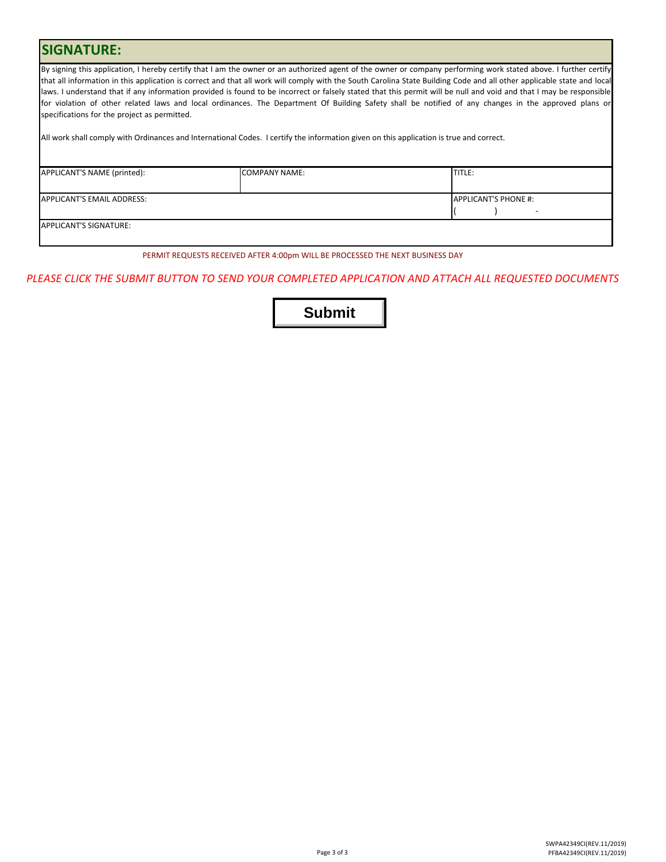## **SIGNATURE:**

By signing this application, I hereby certify that I am the owner or an authorized agent of the owner or company performing work stated above. I further certify that all information in this application is correct and that all work will comply with the South Carolina State Building Code and all other applicable state and local laws. I understand that if any information provided is found to be incorrect or falsely stated that this permit will be null and void and that I may be responsible for violation of other related laws and local ordinances. The Department Of Building Safety shall be notified of any changes in the approved plans or specifications for the project as permitted.

All work shall comply with Ordinances and International Codes. I certify the information given on this application is true and correct.

| APPLICANT'S NAME (printed): | <b>COMPANY NAME:</b> | <b>TITLE:</b>               |
|-----------------------------|----------------------|-----------------------------|
|                             |                      |                             |
| APPLICANT'S EMAIL ADDRESS:  |                      | <b>APPLICANT'S PHONE #:</b> |
|                             |                      | -                           |
| APPLICANT'S SIGNATURE:      |                      |                             |
|                             |                      |                             |

PERMIT REQUESTS RECEIVED AFTER 4:00pm WILL BE PROCESSED THE NEXT BUSINESS DAY

## *PLEASE CLICK THE SUBMIT BUTTON TO SEND YOUR COMPLETED APPLICATION AND ATTACH ALL REQUESTED DOCUMENTS*

**Submit**